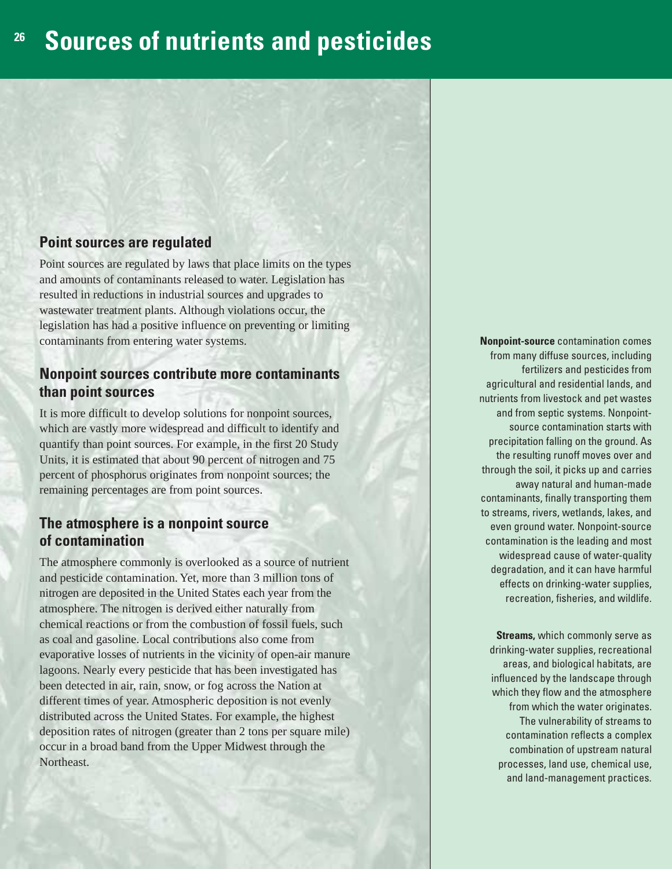## **<sup>26</sup> Sources of nutrients and pesticides**

### **Point sources are regulated**

Point sources are regulated by laws that place limits on the types and amounts of contaminants released to water. Legislation has resulted in reductions in industrial sources and upgrades to wastewater treatment plants. Although violations occur, the legislation has had a positive influence on preventing or limiting contaminants from entering water systems.

#### **Nonpoint sources contribute more contaminants than point sources**

It is more difficult to develop solutions for nonpoint sources, which are vastly more widespread and difficult to identify and quantify than point sources. For example, in the first 20 Study Units, it is estimated that about 90 percent of nitrogen and 75 percent of phosphorus originates from nonpoint sources; the remaining percentages are from point sources.

## **The atmosphere is a nonpoint source of contamination**

The atmosphere commonly is overlooked as a source of nutrient and pesticide contamination. Yet, more than 3 million tons of nitrogen are deposited in the United States each year from the atmosphere. The nitrogen is derived either naturally from chemical reactions or from the combustion of fossil fuels, such as coal and gasoline. Local contributions also come from evaporative losses of nutrients in the vicinity of open-air manure lagoons. Nearly every pesticide that has been investigated has been detected in air, rain, snow, or fog across the Nation at different times of year. Atmospheric deposition is not evenly distributed across the United States. For example, the highest deposition rates of nitrogen (greater than 2 tons per square mile) occur in a broad band from the Upper Midwest through the Northeast.

**Nonpoint-source** contamination comes from many diffuse sources, including fertilizers and pesticides from agricultural and residential lands, and nutrients from livestock and pet wastes and from septic systems. Nonpointsource contamination starts with precipitation falling on the ground. As the resulting runoff moves over and through the soil, it picks up and carries away natural and human-made contaminants, finally transporting them to streams, rivers, wetlands, lakes, and even ground water. Nonpoint-source contamination is the leading and most widespread cause of water-quality degradation, and it can have harmful effects on drinking-water supplies, recreation, fisheries, and wildlife.

**Streams,** which commonly serve as drinking-water supplies, recreational areas, and biological habitats, are influenced by the landscape through which they flow and the atmosphere from which the water originates. The vulnerability of streams to contamination reflects a complex combination of upstream natural processes, land use, chemical use, and land-management practices.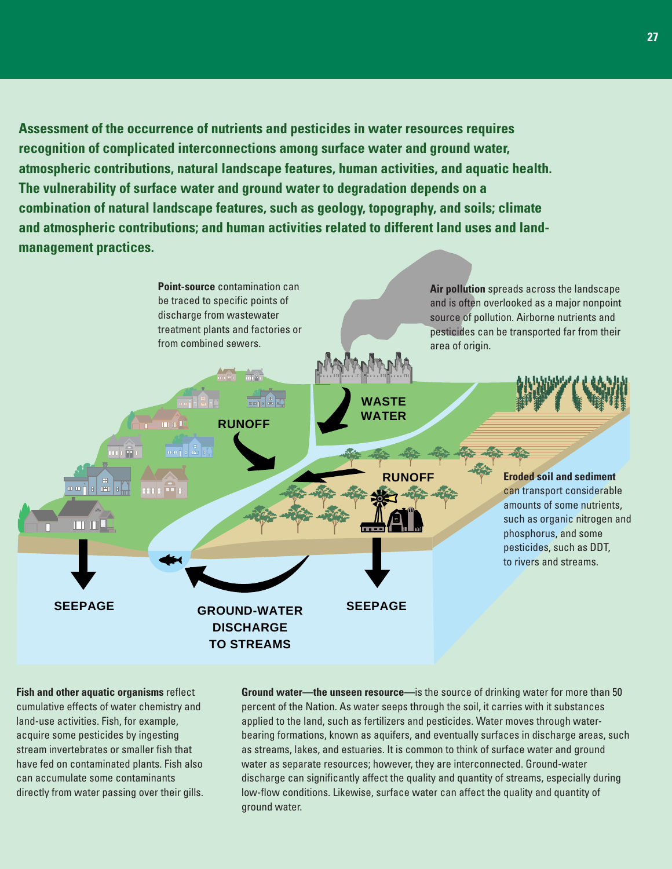**Assessment of the occurrence of nutrients and pesticides in water resources requires recognition of complicated interconnections among surface water and ground water, atmospheric contributions, natural landscape features, human activities, and aquatic health. The vulnerability of surface water and ground water to degradation depends on a combination of natural landscape features, such as geology, topography, and soils; climate and atmospheric contributions; and human activities related to different land uses and landmanagement practices.**



**Fish and other aquatic organisms** reflect cumulative effects of water chemistry and land-use activities. Fish, for example, acquire some pesticides by ingesting stream invertebrates or smaller fish that have fed on contaminated plants. Fish also can accumulate some contaminants directly from water passing over their gills. **Ground water—the unseen resource—**is the source of drinking water for more than 50 percent of the Nation. As water seeps through the soil, it carries with it substances applied to the land, such as fertilizers and pesticides. Water moves through waterbearing formations, known as aquifers, and eventually surfaces in discharge areas, such as streams, lakes, and estuaries. It is common to think of surface water and ground water as separate resources; however, they are interconnected. Ground-water discharge can significantly affect the quality and quantity of streams, especially during low-flow conditions. Likewise, surface water can affect the quality and quantity of ground water.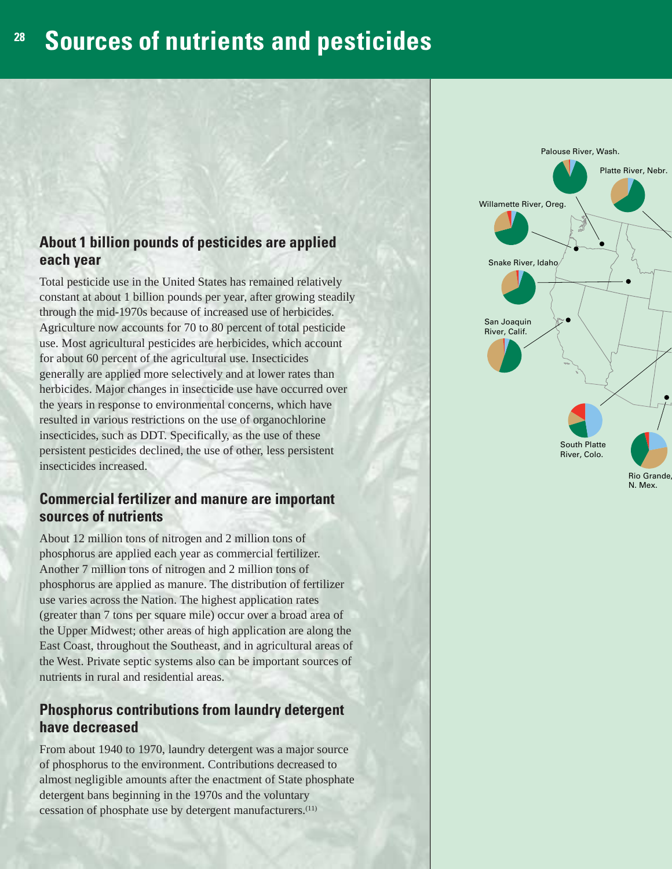# **<sup>28</sup> Sources of nutrients and pesticides**

## **About 1 billion pounds of pesticides are applied each year**

Total pesticide use in the United States has remained relatively constant at about 1 billion pounds per year, after growing steadily through the mid-1970s because of increased use of herbicides. Agriculture now accounts for 70 to 80 percent of total pesticide use. Most agricultural pesticides are herbicides, which account for about 60 percent of the agricultural use. Insecticides generally are applied more selectively and at lower rates than herbicides. Major changes in insecticide use have occurred over the years in response to environmental concerns, which have resulted in various restrictions on the use of organochlorine insecticides, such as DDT. Specifically, as the use of these persistent pesticides declined, the use of other, less persistent insecticides increased.

## **Commercial fertilizer and manure are important sources of nutrients**

About 12 million tons of nitrogen and 2 million tons of phosphorus are applied each year as commercial fertilizer. Another 7 million tons of nitrogen and 2 million tons of phosphorus are applied as manure. The distribution of fertilizer use varies across the Nation. The highest application rates (greater than 7 tons per square mile) occur over a broad area of the Upper Midwest; other areas of high application are along the East Coast, throughout the Southeast, and in agricultural areas of the West. Private septic systems also can be important sources of nutrients in rural and residential areas.

## **Phosphorus contributions from laundry detergent have decreased**

From about 1940 to 1970, laundry detergent was a major source of phosphorus to the environment. Contributions decreased to almost negligible amounts after the enactment of State phosphate detergent bans beginning in the 1970s and the voluntary cessation of phosphate use by detergent manufacturers.(11)